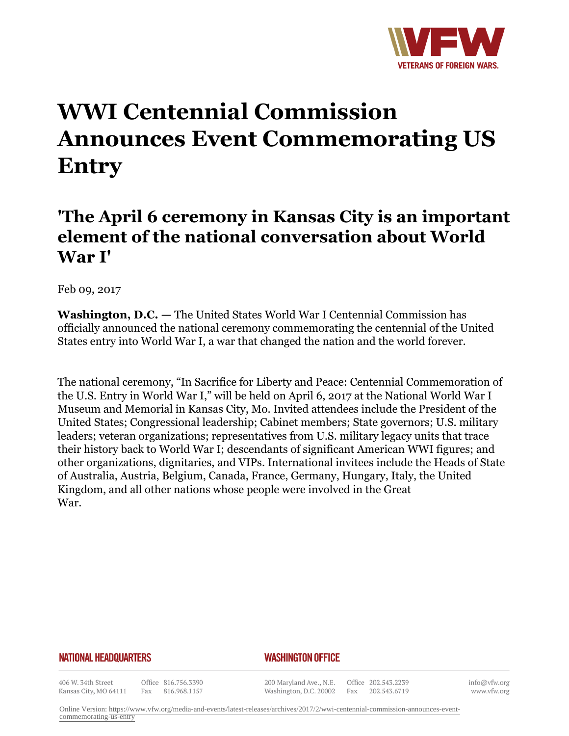

# **WWI Centennial Commission Announces Event Commemorating US Entry**

## **'The April 6 ceremony in Kansas City is an important element of the national conversation about World War I'**

Feb 09, 2017

**Washington, D.C. —** The United States World War I Centennial Commission has officially announced the national ceremony commemorating the centennial of the United States entry into World War I, a war that changed the nation and the world forever.

The national ceremony, "In Sacrifice for Liberty and Peace: Centennial Commemoration of the U.S. Entry in World War I," will be held on April 6, 2017 at the National World War I Museum and Memorial in Kansas City, Mo. Invited attendees include the President of the United States; Congressional leadership; Cabinet members; State governors; U.S. military leaders; veteran organizations; representatives from U.S. military legacy units that trace their history back to World War I; descendants of significant American WWI figures; and other organizations, dignitaries, and VIPs. International invitees include the Heads of State of Australia, Austria, Belgium, Canada, France, Germany, Hungary, Italy, the United Kingdom, and all other nations whose people were involved in the Great War.

### **NATIONAL HEADQUARTERS**

### *WASHINGTON OFFICE*

406 W. 34th Street Kansas City, MO 64111

Office 816.756.3390 Fax 816.968.1157

200 Maryland Ave., N.E. Washington, D.C. 20002

Office 202.543.2239 Fax 202.543.6719

info@vfw.org www.vfw.org

Online Version: [https://www.vfw.org/media-and-events/latest-releases/archives/2017/2/wwi-centennial-commission-announces-event](https://www.vfw.org/media-and-events/latest-releases/archives/2017/2/wwi-centennial-commission-announces-event-commemorating-us-entry)[commemorating-us-entry](https://www.vfw.org/media-and-events/latest-releases/archives/2017/2/wwi-centennial-commission-announces-event-commemorating-us-entry)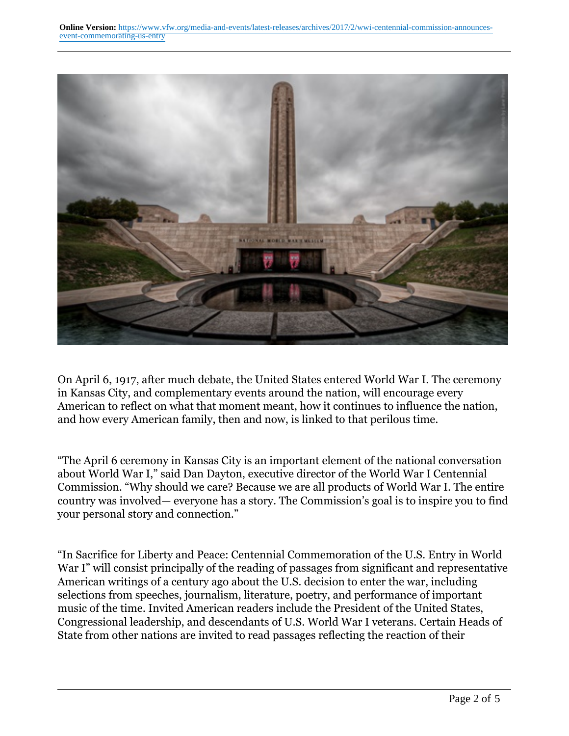

On April 6, 1917, after much debate, the United States entered World War I. The ceremony in Kansas City, and complementary events around the nation, will encourage every American to reflect on what that moment meant, how it continues to influence the nation, and how every American family, then and now, is linked to that perilous time.

"The April 6 ceremony in Kansas City is an important element of the national conversation about World War I," said Dan Dayton, executive director of the World War I Centennial Commission. "Why should we care? Because we are all products of World War I. The entire country was involved— everyone has a story. The Commission's goal is to inspire you to find your personal story and connection."

"In Sacrifice for Liberty and Peace: Centennial Commemoration of the U.S. Entry in World War I" will consist principally of the reading of passages from significant and representative American writings of a century ago about the U.S. decision to enter the war, including selections from speeches, journalism, literature, poetry, and performance of important music of the time. Invited American readers include the President of the United States, Congressional leadership, and descendants of U.S. World War I veterans. Certain Heads of State from other nations are invited to read passages reflecting the reaction of their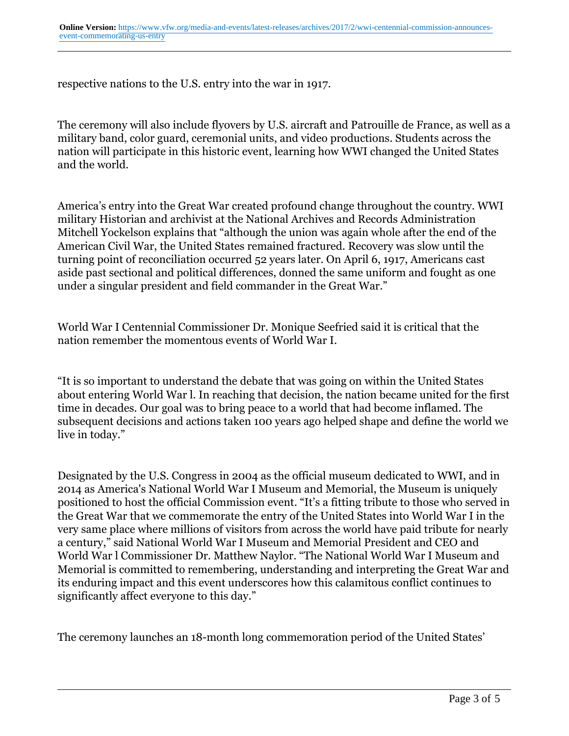respective nations to the U.S. entry into the war in 1917.

The ceremony will also include flyovers by U.S. aircraft and Patrouille de France, as well as a military band, color guard, ceremonial units, and video productions. Students across the nation will participate in this historic event, learning how WWI changed the United States and the world.

America's entry into the Great War created profound change throughout the country. WWI military Historian and archivist at the National Archives and Records Administration Mitchell Yockelson explains that "although the union was again whole after the end of the American Civil War, the United States remained fractured. Recovery was slow until the turning point of reconciliation occurred 52 years later. On April 6, 1917, Americans cast aside past sectional and political differences, donned the same uniform and fought as one under a singular president and field commander in the Great War."

World War I Centennial Commissioner Dr. Monique Seefried said it is critical that the nation remember the momentous events of World War I.

"It is so important to understand the debate that was going on within the United States about entering World War l. In reaching that decision, the nation became united for the first time in decades. Our goal was to bring peace to a world that had become inflamed. The subsequent decisions and actions taken 100 years ago helped shape and define the world we live in today."

Designated by the U.S. Congress in 2004 as the official museum dedicated to WWI, and in 2014 as America's National World War I Museum and Memorial, the Museum is uniquely positioned to host the official Commission event. "It's a fitting tribute to those who served in the Great War that we commemorate the entry of the United States into World War I in the very same place where millions of visitors from across the world have paid tribute for nearly a century," said National World War I Museum and Memorial President and CEO and World War l Commissioner Dr. Matthew Naylor. "The National World War I Museum and Memorial is committed to remembering, understanding and interpreting the Great War and its enduring impact and this event underscores how this calamitous conflict continues to significantly affect everyone to this day."

The ceremony launches an 18-month long commemoration period of the United States'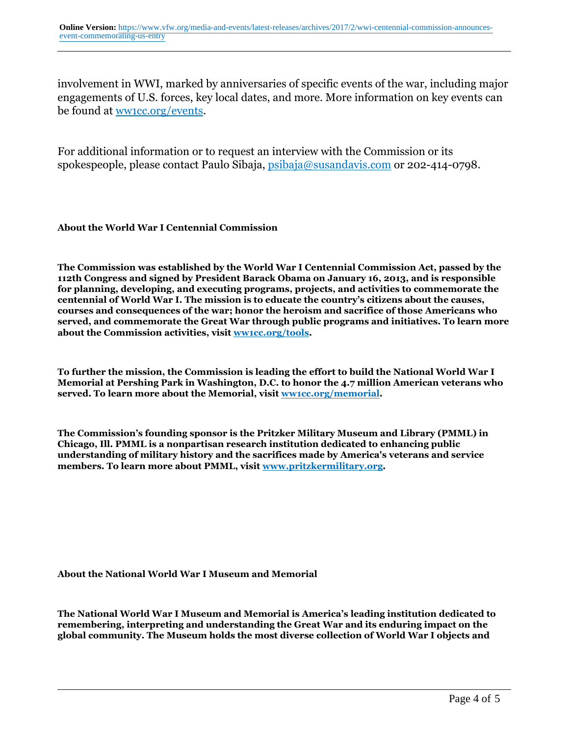involvement in WWI, marked by anniversaries of specific events of the war, including major engagements of U.S. forces, key local dates, and more. More information on key events can be found at ww1cc.org/events.

For additional information or to request an interview with the Commission or its spokespeople, please contact Paulo Sibaja, psibaja@susandavis.com or 202-414-0798.

**About the World War I Centennial Commission**

**The Commission was established by the World War I Centennial Commission Act, passed by the 112th Congress and signed by President Barack Obama on January 16, 2013, and is responsible for planning, developing, and executing programs, projects, and activities to commemorate the centennial of World War I. The mission is to educate the country's citizens about the causes, courses and consequences of the war; honor the heroism and sacrifice of those Americans who served, and commemorate the Great War through public programs and initiatives. To learn more about the Commission activities, visit ww1cc.org/tools.**

**To further the mission, the Commission is leading the effort to build the National World War I Memorial at Pershing Park in Washington, D.C. to honor the 4.7 million American veterans who served. To learn more about the Memorial, visit ww1cc.org/memorial.**

**The Commission's founding sponsor is the Pritzker Military Museum and Library (PMML) in Chicago, Ill. PMML is a nonpartisan research institution dedicated to enhancing public understanding of military history and the sacrifices made by America's veterans and service members. To learn more about PMML, visit www.pritzkermilitary.org.**

#### **About the National World War I Museum and Memorial**

**The National World War I Museum and Memorial is America's leading institution dedicated to remembering, interpreting and understanding the Great War and its enduring impact on the global community. The Museum holds the most diverse collection of World War I objects and**